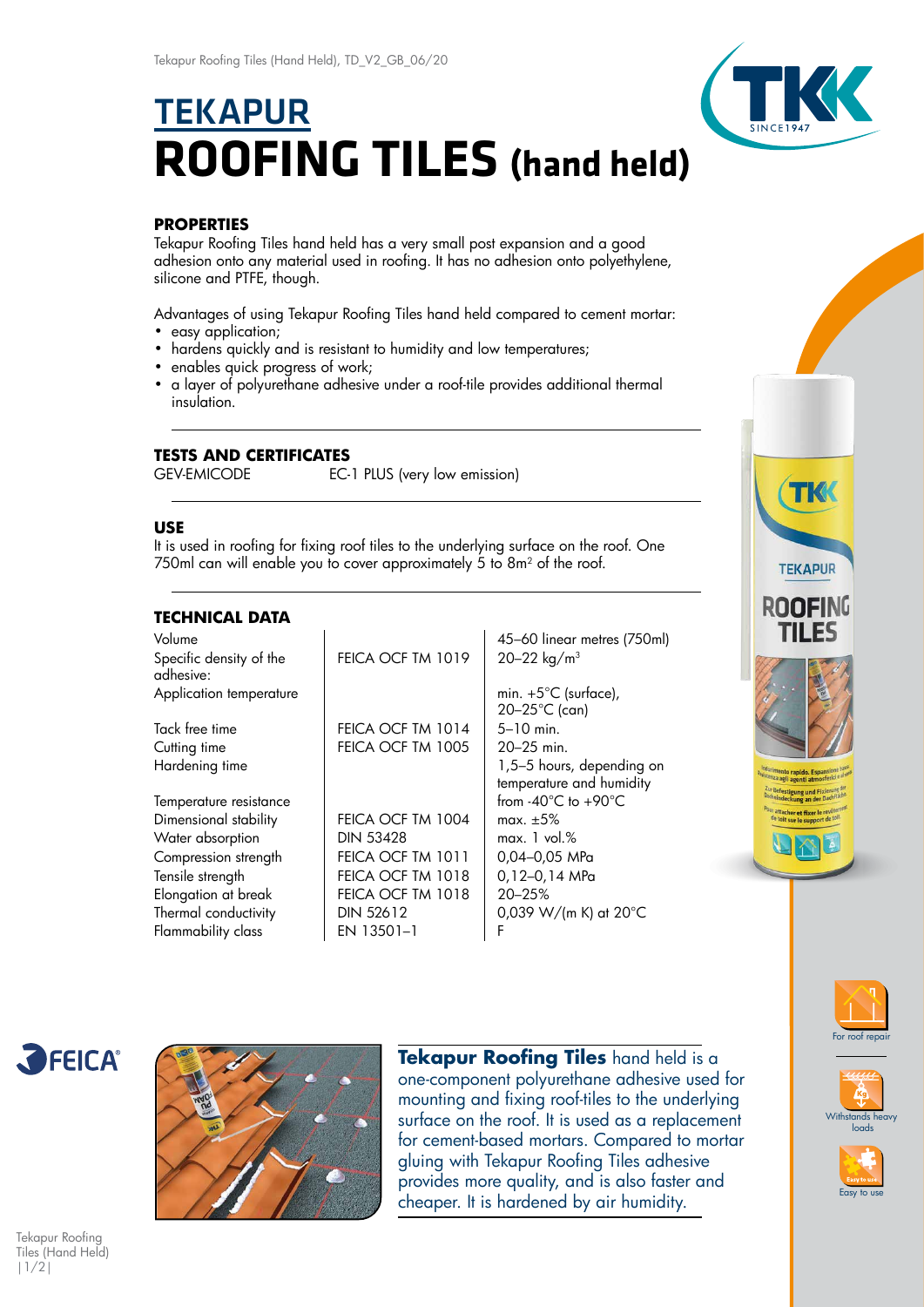# **TEKAPUR ROOFING TILES (hand held)**



# **PROPERTIES**

Tekapur Roofing Tiles hand held has a very small post expansion and a good adhesion onto any material used in roofing. It has no adhesion onto polyethylene, silicone and PTFE, though.

Advantages of using Tekapur Roofing Tiles hand held compared to cement mortar:

- easy application;
- hardens quickly and is resistant to humidity and low temperatures;
- enables quick progress of work;
- a layer of polyurethane adhesive under a roof-tile provides additional thermal insulation.

## **TESTS AND CERTIFICATES**

GEV-EMICODE EC-1 PLUS (very low emission)

### **USE**

It is used in roofing for fixing roof tiles to the underlying surface on the roof. One 750ml can will enable you to cover approximately 5 to 8m<sup>2</sup> of the roof.

## **TECHNICAL DATA**

| Volume                               |                   | 45-60 linear metres (750ml)                           |
|--------------------------------------|-------------------|-------------------------------------------------------|
| Specific density of the<br>adhesive: | FEICA OCF TM 1019 | 20-22 kg/m <sup>3</sup>                               |
| Application temperature              |                   | min. $+5^{\circ}$ C (surface),<br>$20 - 25$ °C (can)  |
| Tack free time                       | FEICA OCF TM 1014 | $5 - 10$ min.                                         |
| Cutting time                         | FEICA OCF TM 1005 | 20–25 min.                                            |
| Hardening time                       |                   | 1,5-5 hours, depending on<br>temperature and humidity |
| Temperature resistance               |                   | from $-40^{\circ}$ C to $+90^{\circ}$ C               |
| Dimensional stability                | FEICA OCF TM 1004 | max. $\pm 5\%$                                        |
| Water absorption                     | <b>DIN 53428</b>  | max. 1 vol. %                                         |
| Compression strength                 | FEICA OCF TM 1011 | 0,04-0,05 MPa                                         |
| Tensile strength                     | FEICA OCF TM 1018 | 0,12-0,14 MPa                                         |
| Elongation at break                  | FEICA OCF TM 1018 | 20-25%                                                |
| Thermal conductivity                 | <b>DIN 52612</b>  | 0,039 W/(m K) at $20^{\circ}$ C                       |
| Flammability class                   | EN 13501-1        | F                                                     |





**Tekapur Roofing Tiles** hand held is a one-component polyurethane adhesive used for mounting and fixing roof-tiles to the underlying surface on the roof. It is used as a replacement for cement-based mortars. Compared to mortar gluing with Tekapur Roofing Tiles adhesive provides more quality, and is also faster and cheaper. It is hardened by air humidity.









Tekapur Roofing Tiles (Hand Held) |1/2|